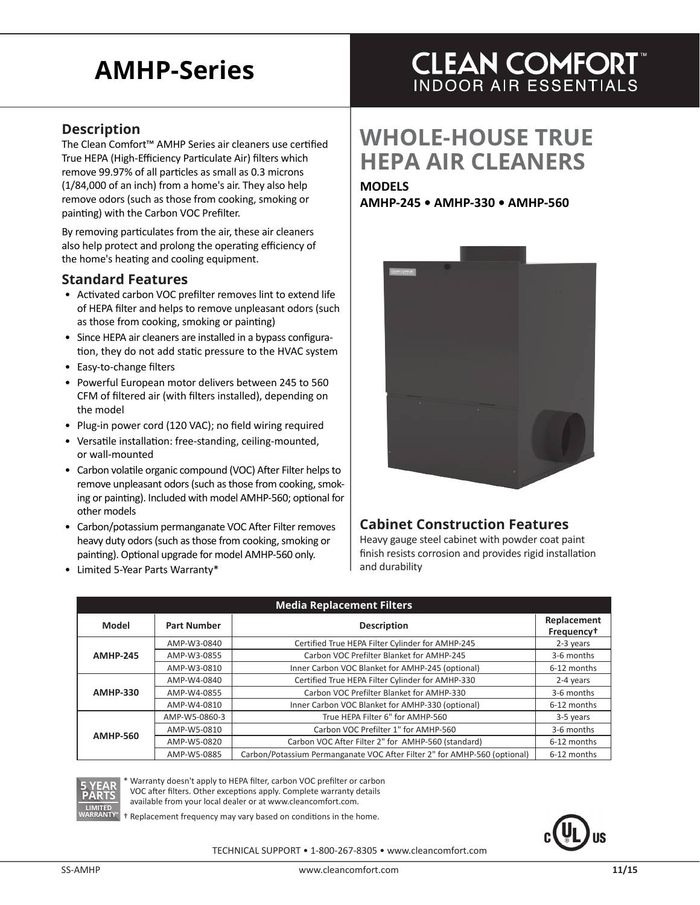# **AMHP-Series**

### **Description**

The Clean Comfort™ AMHP Series air cleaners use certified True HEPA (High-Efficiency Particulate Air) filters which remove 99.97% of all particles as small as 0.3 microns (1/84,000 of an inch) from a home's air. They also help remove odors (such as those from cooking, smoking or painting) with the Carbon VOC Prefilter.

By removing particulates from the air, these air cleaners also help protect and prolong the operating efficiency of the home's heating and cooling equipment.

#### **Standard Features**

- Activated carbon VOC prefilter removes lint to extend life of HEPA filter and helps to remove unpleasant odors (such as those from cooking, smoking or painting)
- Since HEPA air cleaners are installed in a bypass configuration, they do not add static pressure to the HVAC system
- Easy-to-change filters
- Powerful European motor delivers between 245 to 560 CFM of filtered air (with filters installed), depending on the model
- Plug-in power cord (120 VAC); no field wiring required
- Versatile installation: free-standing, ceiling-mounted, or wall-mounted
- Carbon volatile organic compound (VOC) After Filter helps to remove unpleasant odors (such as those from cooking, smoking or painting). Included with model AMHP-560; optional for other models
- Carbon/potassium permanganate VOC After Filter removes heavy duty odors (such as those from cooking, smoking or painting). Optional upgrade for model AMHP-560 only.
- Limited 5-Year Parts Warranty\*

### **CLEAN COMFORT INDOOR AIR ESSENTIALS**

## **WHOLE-HOUSE TRUE HEPA AIR CLEANERS**

#### **MODELS AMHP-245 • AMHP-330 • AMHP-560**



### **Cabinet Construction Features**

Heavy gauge steel cabinet with powder coat paint finish resists corrosion and provides rigid installation and durability

| <b>Media Replacement Filters</b> |                    |                                                                           |                                       |  |  |
|----------------------------------|--------------------|---------------------------------------------------------------------------|---------------------------------------|--|--|
| Model                            | <b>Part Number</b> | <b>Description</b>                                                        | Replacement<br>Frequency <sup>+</sup> |  |  |
| <b>AMHP-245</b>                  | AMP-W3-0840        | Certified True HEPA Filter Cylinder for AMHP-245                          | 2-3 years                             |  |  |
|                                  | AMP-W3-0855        | Carbon VOC Prefilter Blanket for AMHP-245                                 | 3-6 months                            |  |  |
|                                  | AMP-W3-0810        | Inner Carbon VOC Blanket for AMHP-245 (optional)                          | 6-12 months                           |  |  |
| <b>AMHP-330</b>                  | AMP-W4-0840        | Certified True HEPA Filter Cylinder for AMHP-330                          | 2-4 years                             |  |  |
|                                  | AMP-W4-0855        | Carbon VOC Prefilter Blanket for AMHP-330                                 | 3-6 months                            |  |  |
|                                  | AMP-W4-0810        | Inner Carbon VOC Blanket for AMHP-330 (optional)                          | 6-12 months                           |  |  |
| <b>AMHP-560</b>                  | AMP-W5-0860-3      | True HEPA Filter 6" for AMHP-560                                          | 3-5 years                             |  |  |
|                                  | AMP-W5-0810        | Carbon VOC Prefilter 1" for AMHP-560                                      | 3-6 months                            |  |  |
|                                  | AMP-W5-0820        | Carbon VOC After Filter 2" for AMHP-560 (standard)                        | 6-12 months                           |  |  |
|                                  | AMP-W5-0885        | Carbon/Potassium Permanganate VOC After Filter 2" for AMHP-560 (optional) | 6-12 months                           |  |  |



Warranty doesn't apply to HEPA filter, carbon VOC prefilter or carbon VOC after filters. Other exceptions apply. Complete warranty details

available from your local dealer or at www.cleancomfort.com.

 $Replacement frequency$  may vary based on conditions in the home.



TECHNICAL SUPPORT • 1-800-267-8305 • www.cleancomfort.com